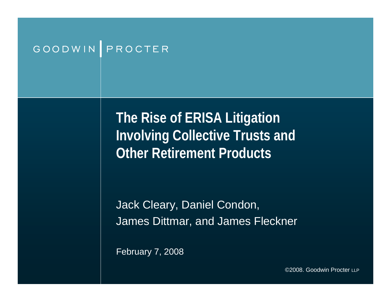#### GOODWIN PROCTER

**The Rise of ERISA Litigation Involving Collective Trusts and Other Retirement Products**

Jack Cleary, Daniel Condon, James Dittmar, and James Fleckner

February 7, 2008

©2008. Goodwin Procter LLP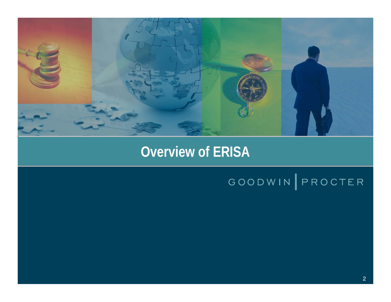

#### **Overview of ERISA Overview of ERISA**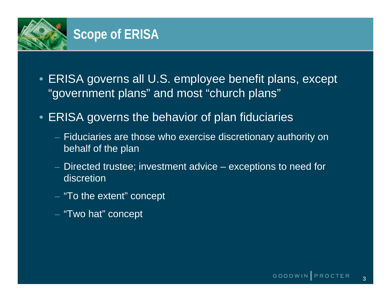

- ERISA governs all U.S. employee benefit plans, except "government plans" and most "church plans"
- ERISA governs the behavior of plan fiduciaries
	- $-$  Fiduciaries are those who exercise discretionary authority on  $\overline{\phantom{a}}$ behalf of the plan
	- Directed trustee; investment advice exceptions to need for discretion
	- $-$  "To the extent" concept
	- "Two hat" concept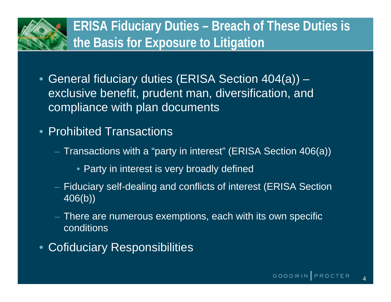

- General fiduciary duties (ERISA Section 404(a)) exclusive benefit, prudent man, diversification, and compliance with plan documents
- Prohibited Transactions
	- $-$  Transactions with a "party in interest" (ERISA Section 406(a))
		- Party in interest is very broadly defined
	- Fiduciary self-dealing and conflicts of interest (ERISA Section 406(b))
	- $-$  There are numerous exemptions, each with its own specific  $\overline{\phantom{a}}$ conditions
- Cofiduciary Responsibilities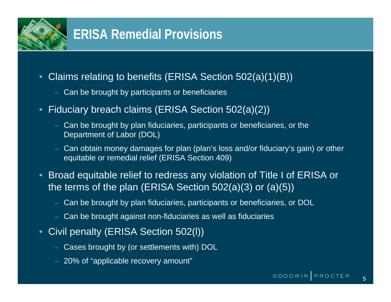

- • Claims relating to benefits (ERISA Section 502(a)(1)(B))
	- Can be brought by participants or beneficiaries
- • Fiduciary breach claims (ERISA Section 502(a)(2))
	- Can be brought by plan fiduciaries, participants or beneficiaries, or the Department of Labor (DOL)
	- Can obtain money damages for plan (plan's loss and/or fiduciary's gain) or other equitable or remedial relief (ERISA Section 409)
- Broad equitable relief to redress any violation of Title I of ERISA or the terms of the plan (ERISA Section 502(a)(3) or (a)(5))
	- Can be brought by plan fiduciaries, participants or beneficiaries, or DOL
	- Can be brought against non-fiduciaries as well as fiduciaries
- $\bullet$  Civil penalty (ERISA Section 502(l))
	- Cases brought by (or settlements with) DOL
	- $-$  20% of "applicable recovery amount"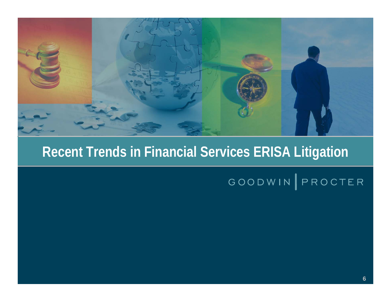

#### **Recent Trends in Financial Services ERISA Litigation**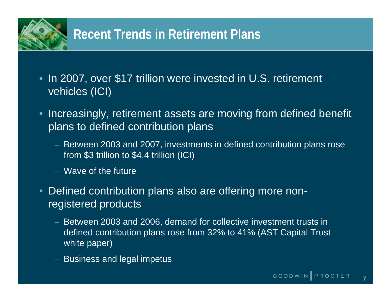

#### **Recent Trends in Retirement Plans**

- In 2007, over \$17 trillion were invested in U.S. retirement vehicles (ICI)
- Increasingly, retirement assets are moving from defined benefit plans to defined contribution plans
	- Between 2003 and 2007, investments in defined contribution plans rose from \$3 trillion to \$4.4 trillion (ICI)
	- Wave of the future
- • Defined contribution plans also are offering more nonregistered products
	- Between 2003 and 2006, demand for collective investment trusts in defined contribution plans rose from 32% to 41% (AST Capital Trust white paper)
	- Business and legal impetus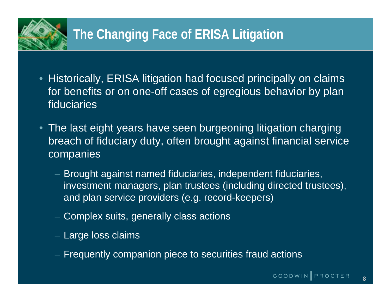- Historically, ERISA litigation had focused principally on claims for benefits or on one-off cases of egregious behavior by plan fiduciaries
- The last eight years have seen burgeoning litigation charging breach of fiduciary duty, often brought against financial service companies
	- Brought against named fiduciaries, independent fiduciaries, investment managers, plan trustees (including directed trustees), and plan service providers (e.g. record-keepers)
	- $-$  Complex suits, generally class actions
	- $-$  Large loss claims
	- Frequently companion piece to securities fraud actions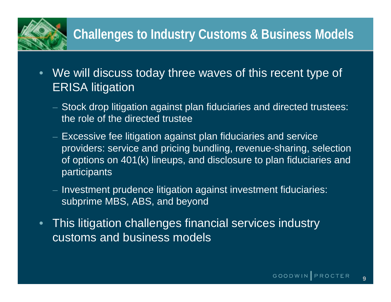## **Challenges to Industry Customs & Business Models**

- $\bullet$  We will discuss today three waves of this recent type of ERISA litigation
	- $-$  Stock drop litigation against plan fiduciaries and directed trustees:  $\overline{\phantom{a}}$ the role of the directed trustee
	- $-$  Excessive fee litigation against plan fiduciaries and service providers: service and pricing bundling, revenue-sharing, selection of options on 401(k) lineups, and disclosure to plan fiduciaries and **participants**
	- $-$  Investment prudence litigation against investment fiduciaries:  $\overline{\phantom{a}}$ subprime MBS, ABS, and beyond
- $\bullet$  This litigation challenges financial services industry customs and business models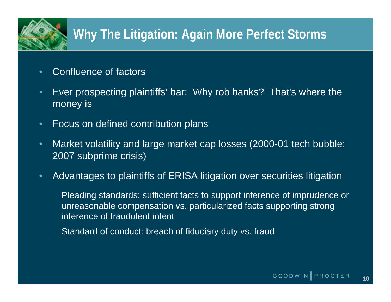# **Why The Litigation: Again More Perfect Storms**

- •Confluence of factors
- $\bullet$  Ever prospecting plaintiffs' bar: Why rob banks? That's where the money is
- $\bullet$ Focus on defined contribution plans
- $\bullet$  Market volatility and large market cap losses (2000-01 tech bubble; 2007 subprime crisis)
- $\bullet$  Advantages to plaintiffs of ERISA litigation over securities litigation
	- Pleading standards: sufficient facts to support inference of imprudence or unreasonable compensation vs. particularized facts supporting strong inference of fraudulent intent
	- Standard of conduct: breach of fiduciary duty vs. fraud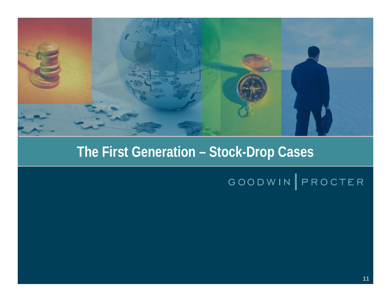

# **The First Generation – Stock-Drop Cases The First Generation – Stock-Drop Cases**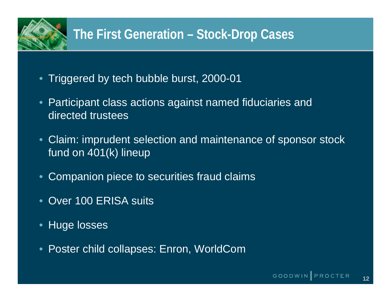# **The First Generation – Stock-Drop Cases**

- Triggered by tech bubble burst, 2000-01
- Participant class actions against named fiduciaries and directed trustees
- Claim: imprudent selection and maintenance of sponsor stock fund on 401(k) lineup
- Companion piece to securities fraud claims
- Over 100 ERISA suits
- $\bullet$ Huge losses
- •Poster child collapses: Enron, WorldCom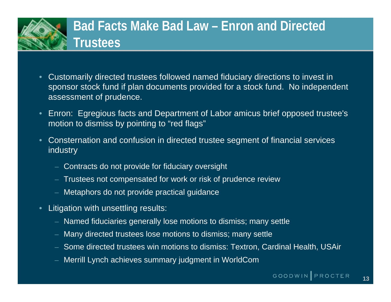

- • Customarily directed trustees followed named fiduciary directions to invest in sponsor stock fund if plan documents provided for a stock fund. No independent assessment of prudence.
- • Enron: Egregious facts and Department of Labor amicus brief opposed trustee's motion to dismiss by pointing to "red flags"
- • Consternation and confusion in directed trustee segment of financial services industry
	- Contracts do not provide for fiduciary oversight
	- Trustees not compensated for work or risk of prudence review
	- Metaphors do not provide practical guidance
- • Litigation with unsettling results:
	- Named fiduciaries generally lose motions to dismiss; many settle
	- Many directed trustees lose motions to dismiss; many settle
	- Some directed trustees win motions to dismiss: Textron, Cardinal Health, USAir
	- Merrill Lynch achieves summary judgment in WorldCom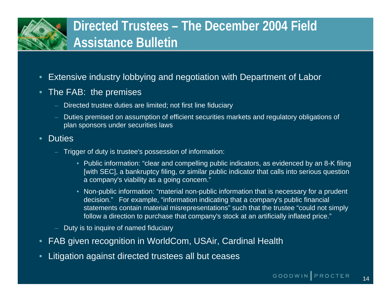

- •Extensive industry lobbying and negotiation with Department of Labor
- $\bullet$  The FAB: the premises
	- Directed trustee duties are limited; not first line fiduciary
	- Duties premised on assumption of efficient securities markets and regulatory obligations of plan sponsors under securities laws
- •**Duties** 
	- Trigger of duty is trustee's possession of information:
		- Public information: "clear and compelling public indicators, as evidenced by an 8-K filing [with SEC], a bankruptcy filing, or similar public indicator that calls into serious question a company's viability as a going concern."
		- Non-public information: "material non-public information that is necessary for a prudent decision." For example, "information indicating that a company's public financial statements contain material misrepresentations" such that the trustee "could not simply follow a direction to purchase that company's stock at an artificially inflated price."
	- Duty is to inquire of named fiduciary
- •FAB given recognition in WorldCom, USAir, Cardinal Health
- •Litigation against directed trustees all but ceases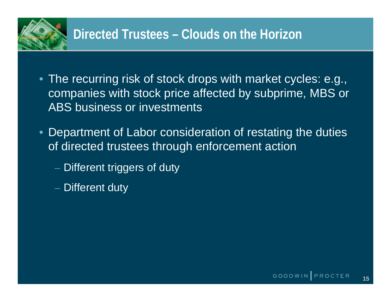

- The recurring risk of stock drops with market cycles: e.g., companies with stock price affected by subprime, MBS or ABS business or investments
- Department of Labor consideration of restating the duties of directed trustees through enforcement action
	- $\mathcal{L}_{\mathcal{A}}$  $-$  Different triggers of duty
	- $-$  Different duty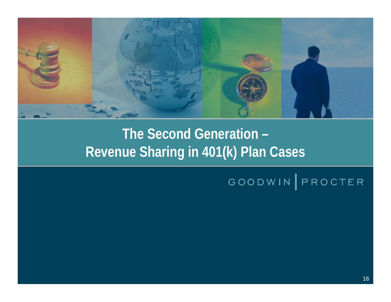

# **The Second Generation – The Second Generation – Revenue Sharing in 401(k) Plan Cases Revenue Sharing in 401(k) Plan Cases**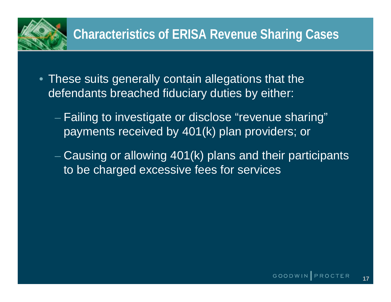

- These suits generally contain allegations that the defendants breached fiduciary duties by either:
	- $-$  Failing to investigate or disclose "revenue sharing" payments received by 401(k) plan providers; or
	- $-$  Causing or allowing 401(k) plans and their participants  $\overline{\phantom{a}}$ to be charged excessive fees for services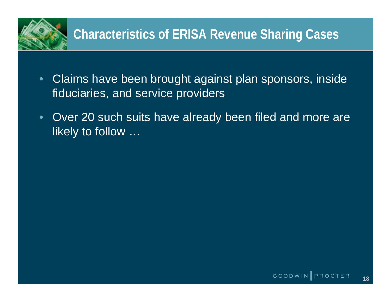

- $\bullet$  Claims have been brought against plan sponsors, inside fiduciaries, and service providers
- $\bullet$  Over 20 such suits have already been filed and more are likely to follow …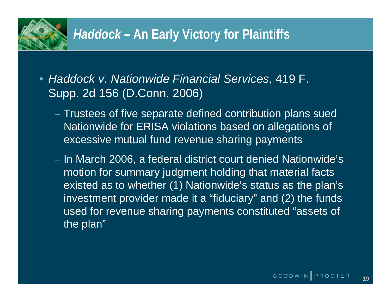

- *Haddock v. Nationwide Financial Services*, 419 F. Supp. 2d 156 (D.Conn. 2006)
	- $\mathcal{L}_{\mathcal{A}}$  $-$  Trustees of five separate defined contribution plans sued  $\overline{\phantom{a}}$ Nationwide for ERISA violations based on allegations of excessive mutual fund revenue sharing payments
	- In March 2006, a federal district court denied Nationwide's motion for summary judgment holding that material facts existed as to whether (1) Nationwide's status as the plan's investment provider made it a "fiduciary" and (2) the funds used for revenue sharing payments constituted "assets of the plan"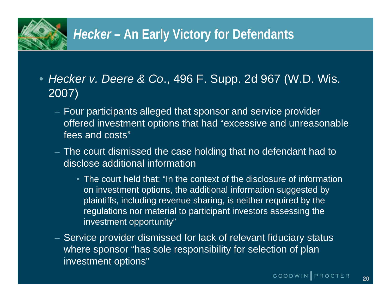

## *Hecker* **– An Early Victory for Defendants**

- *Hecker v. Deere & Co*., 496 F. Supp. 2d 967 (W.D. Wis. 2007)
	- $-$  Four participants alleged that sponsor and service provider  $\,$ offered investment options that had "excessive and unreasonable fees and costs"
	- $-$  The court dismissed the case holding that no defendant had to disclose additional information
		- The court held that: "In the context of the disclosure of information on investment options, the additional information suggested by plaintiffs, including revenue sharing, is neither required by the regulations nor material to participant investors assessing the investment opportunity"
	- $-$  Service provider dismissed for lack of relevant fiduciary status where sponsor "has sole responsibility for selection of plan investment options"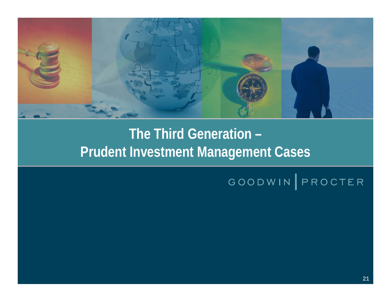

## **The Third Generation – The Third Generation – Prudent Investment Management Cases Prudent Investment Management Cases**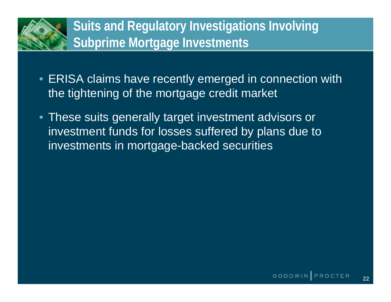

- ERISA claims have recently emerged in connection with the tightening of the mortgage credit market
- These suits generally target investment advisors or investment funds for losses suffered by plans due to investments in mortgage-backed securities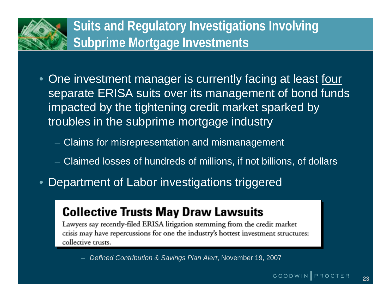## **Suits and Regulatory Investigations Involving Subprime Mortgage Investments**

- One investment manager is currently facing at least <u>four</u> separate ERISA suits over its management of bond funds impacted by the tightening credit market sparked by troubles in the subprime mortgage industry
	- Claims for misrepresentation and mismanagement
	- Claimed losses of hundreds of millions, if not billions, of dollars
- •Department of Labor investigations triggered

#### **Collective Trusts May Draw Lawsuits**

Lawyers say recently-filed ERISA litigation stemming from the credit market crisis may have repercussions for one the industry's hottest investment structures: collective trusts.

– *Defined Contribution & Savings Plan Alert*, November 19, 2007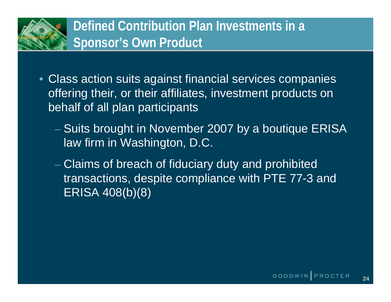

- Class action suits against financial services companies offering their, or their affiliates, investment products on behalf of all plan participants
	- $-$  Suits brought in November 2007 by a boutique ERISA  $\,$ law firm in Washington, D.C.
	- Claims of breach of fiduciary duty and prohibited transactions, despite compliance with PTE 77-3 and ERISA 408(b)(8)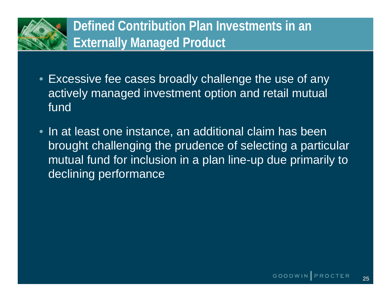

- Excessive fee cases broadly challenge the use of any actively managed investment option and retail mutual fund
- In at least one instance, an additional claim has been brought challenging the prudence of selecting a particular mutual fund for inclusion in a plan line-up due primarily to declining performance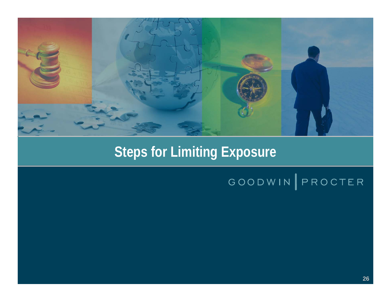

# **Steps for Limiting Exposure**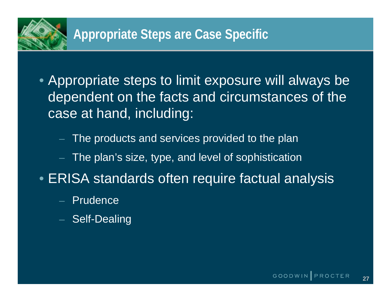

- Appropriate steps to limit exposure will always be dependent on the facts and circumstances of the case at hand, including:
	- The products and services provided to the plan
	- The plan's size, type, and level of sophistication
- ERISA standards often require factual analysis
	- Prudence
	- Self-Dealing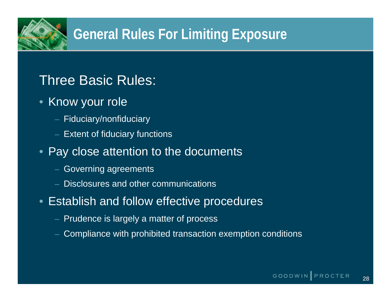

# **General Rules For Limiting Exposure**

#### Three Basic Rules:

- Know your role
	- Fiduciary/nonfiduciary
	- Extent of fiduciary functions
- Pay close attention to the documents
	- Governing agreements
	- Disclosures and other communications
- Establish and follow effective procedures
	- Prudence is largely a matter of process
	- Compliance with prohibited transaction exemption conditions